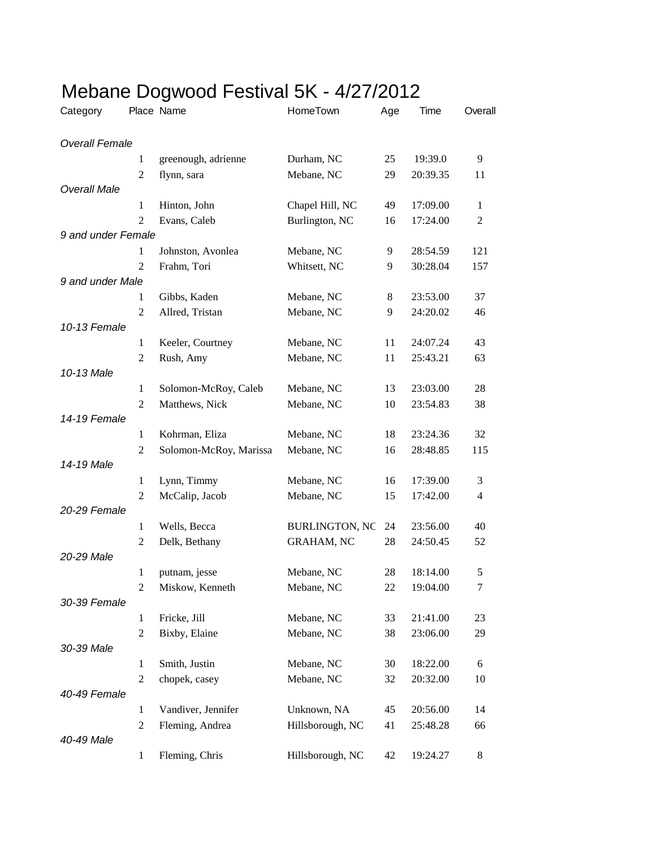| Category              |                | Place Name             | HomeTown              | Age | Time     | Overall        |
|-----------------------|----------------|------------------------|-----------------------|-----|----------|----------------|
| <b>Overall Female</b> |                |                        |                       |     |          |                |
|                       | 1              | greenough, adrienne    | Durham, NC            | 25  | 19:39.0  | 9              |
|                       | $\overline{2}$ | flynn, sara            | Mebane, NC            | 29  | 20:39.35 | 11             |
| <b>Overall Male</b>   |                |                        |                       |     |          |                |
|                       | $\mathbf{1}$   | Hinton, John           | Chapel Hill, NC       | 49  | 17:09.00 | $\mathbf{1}$   |
|                       | $\overline{2}$ | Evans, Caleb           | Burlington, NC        | 16  | 17:24.00 | $\overline{c}$ |
| 9 and under Female    |                |                        |                       |     |          |                |
|                       | $\mathbf{1}$   | Johnston, Avonlea      | Mebane, NC            | 9   | 28:54.59 | 121            |
|                       | 2              | Frahm, Tori            | Whitsett, NC          | 9   | 30:28.04 | 157            |
| 9 and under Male      |                |                        |                       |     |          |                |
|                       | 1              | Gibbs, Kaden           | Mebane, NC            | 8   | 23:53.00 | 37             |
|                       | $\overline{2}$ | Allred, Tristan        | Mebane, NC            | 9   | 24:20.02 | 46             |
| 10-13 Female          |                |                        |                       |     |          |                |
|                       | 1              | Keeler, Courtney       | Mebane, NC            | 11  | 24:07.24 | 43             |
|                       | $\overline{2}$ | Rush, Amy              | Mebane, NC            | 11  | 25:43.21 | 63             |
| 10-13 Male            |                |                        |                       |     |          |                |
|                       | 1              | Solomon-McRoy, Caleb   | Mebane, NC            | 13  | 23:03.00 | 28             |
|                       | $\overline{2}$ | Matthews, Nick         | Mebane, NC            | 10  | 23:54.83 | 38             |
| 14-19 Female          |                |                        |                       |     |          |                |
|                       | $\mathbf{1}$   | Kohrman, Eliza         | Mebane, NC            | 18  | 23:24.36 | 32             |
|                       | $\overline{2}$ | Solomon-McRoy, Marissa | Mebane, NC            | 16  | 28:48.85 | 115            |
| 14-19 Male            |                |                        |                       |     |          |                |
|                       | 1              | Lynn, Timmy            | Mebane, NC            | 16  | 17:39.00 | 3              |
|                       | $\overline{2}$ | McCalip, Jacob         | Mebane, NC            | 15  | 17:42.00 | $\overline{4}$ |
| 20-29 Female          |                |                        |                       |     |          |                |
|                       | $\mathbf{1}$   | Wells, Becca           | <b>BURLINGTON, NC</b> | 24  | 23:56.00 | 40             |
|                       | 2              | Delk, Bethany          | <b>GRAHAM, NC</b>     | 28  | 24:50.45 | 52             |
| 20-29 Male            |                |                        |                       |     |          |                |
|                       | $\mathbf{1}$   | putnam, jesse          | Mebane, NC            | 28  | 18:14.00 | 5              |
|                       | $\overline{2}$ | Miskow, Kenneth        | Mebane, NC            | 22  | 19:04.00 | 7              |
| 30-39 Female          |                |                        |                       |     |          |                |
|                       | $\mathbf{1}$   | Fricke, Jill           | Mebane, NC            | 33  | 21:41.00 | 23             |
|                       | $\overline{2}$ | Bixby, Elaine          | Mebane, NC            | 38  | 23:06.00 | 29             |
| 30-39 Male            |                |                        |                       |     |          |                |
|                       | $\mathbf{1}$   | Smith, Justin          | Mebane, NC            | 30  | 18:22.00 | 6              |
|                       | $\overline{2}$ | chopek, casey          | Mebane, NC            | 32  | 20:32.00 | 10             |
| 40-49 Female          |                |                        |                       |     |          |                |
|                       | $\mathbf{1}$   | Vandiver, Jennifer     | Unknown, NA           | 45  | 20:56.00 | 14             |
| 40-49 Male            | $\overline{2}$ | Fleming, Andrea        | Hillsborough, NC      | 41  | 25:48.28 | 66             |
|                       |                |                        |                       |     |          |                |
|                       | $\mathbf{1}$   | Fleming, Chris         | Hillsborough, NC      | 42  | 19:24.27 | 8              |

## Mebane Dogwood Festival 5K - 4/27/2012